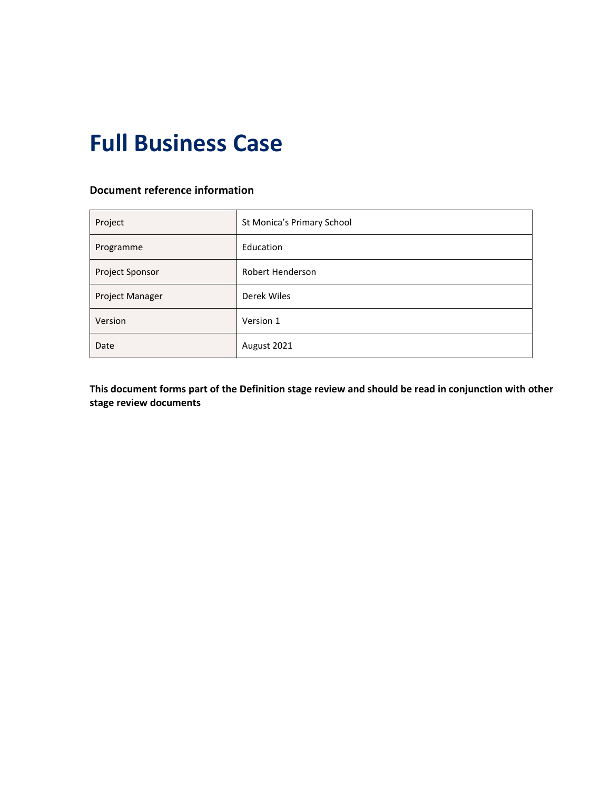# **Full Business Case**

#### **Document reference information**

| Project                | St Monica's Primary School |  |  |  |
|------------------------|----------------------------|--|--|--|
| Programme              | Education                  |  |  |  |
| Project Sponsor        | Robert Henderson           |  |  |  |
| <b>Project Manager</b> | Derek Wiles                |  |  |  |
| Version                | Version 1                  |  |  |  |
| Date                   | August 2021                |  |  |  |

**This document forms part of the Definition stage review and should be read in conjunction with other stage review documents**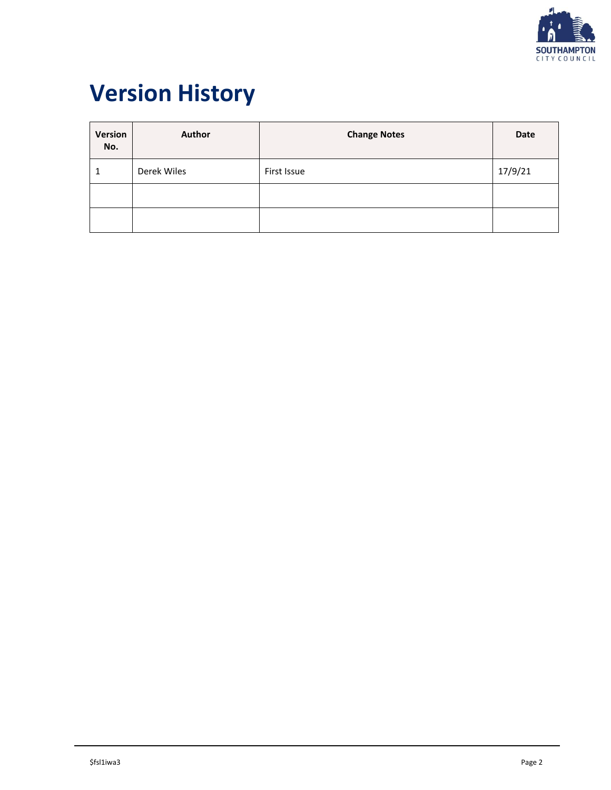

# **Version History**

| Version<br>No. | <b>Author</b> | <b>Change Notes</b> | Date    |
|----------------|---------------|---------------------|---------|
| 1              | Derek Wiles   | First Issue         | 17/9/21 |
|                |               |                     |         |
|                |               |                     |         |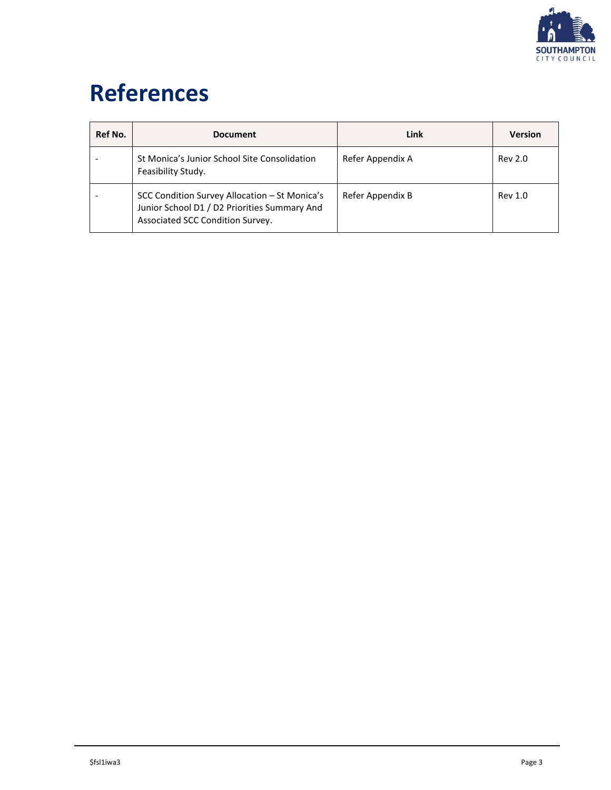

# **References**

| Ref No. | <b>Document</b>                                                                                                                   | Link             | <b>Version</b> |
|---------|-----------------------------------------------------------------------------------------------------------------------------------|------------------|----------------|
|         | St Monica's Junior School Site Consolidation<br>Feasibility Study.                                                                | Refer Appendix A | Rev 2.0        |
|         | SCC Condition Survey Allocation - St Monica's<br>Junior School D1 / D2 Priorities Summary And<br>Associated SCC Condition Survey. | Refer Appendix B | Rev 1.0        |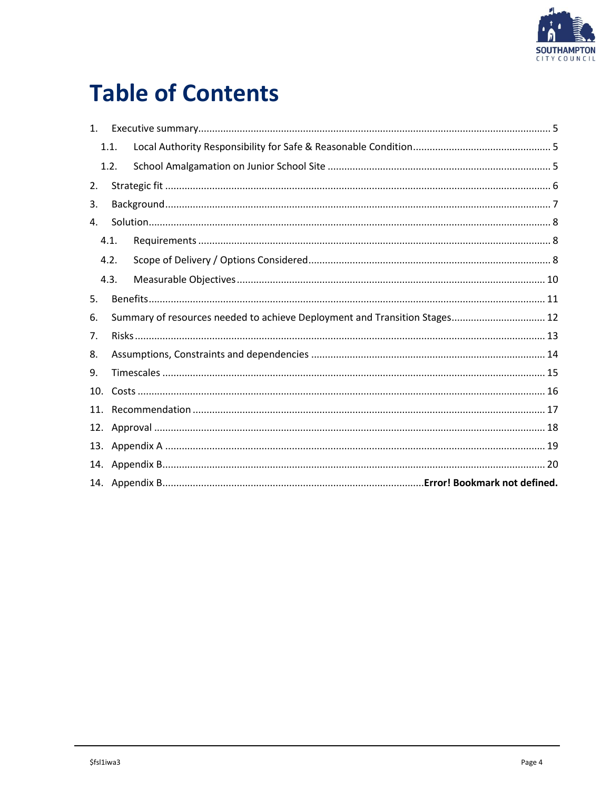

# **Table of Contents**

| $1_{-}$ |      |  |                                                                            |  |  |  |  |  |
|---------|------|--|----------------------------------------------------------------------------|--|--|--|--|--|
|         | 1.1. |  |                                                                            |  |  |  |  |  |
|         | 1.2. |  |                                                                            |  |  |  |  |  |
| 2.      |      |  |                                                                            |  |  |  |  |  |
| 3.      |      |  |                                                                            |  |  |  |  |  |
| 4.      |      |  |                                                                            |  |  |  |  |  |
|         | 4.1. |  |                                                                            |  |  |  |  |  |
|         | 4.2. |  |                                                                            |  |  |  |  |  |
|         | 4.3. |  |                                                                            |  |  |  |  |  |
| 5.      |      |  |                                                                            |  |  |  |  |  |
| 6.      |      |  | Summary of resources needed to achieve Deployment and Transition Stages 12 |  |  |  |  |  |
| 7.      |      |  |                                                                            |  |  |  |  |  |
| 8.      |      |  |                                                                            |  |  |  |  |  |
| 9.      |      |  |                                                                            |  |  |  |  |  |
| 10.     |      |  |                                                                            |  |  |  |  |  |
| 11.     |      |  |                                                                            |  |  |  |  |  |
| 12.     |      |  |                                                                            |  |  |  |  |  |
| 13.     |      |  |                                                                            |  |  |  |  |  |
|         |      |  |                                                                            |  |  |  |  |  |
|         |      |  |                                                                            |  |  |  |  |  |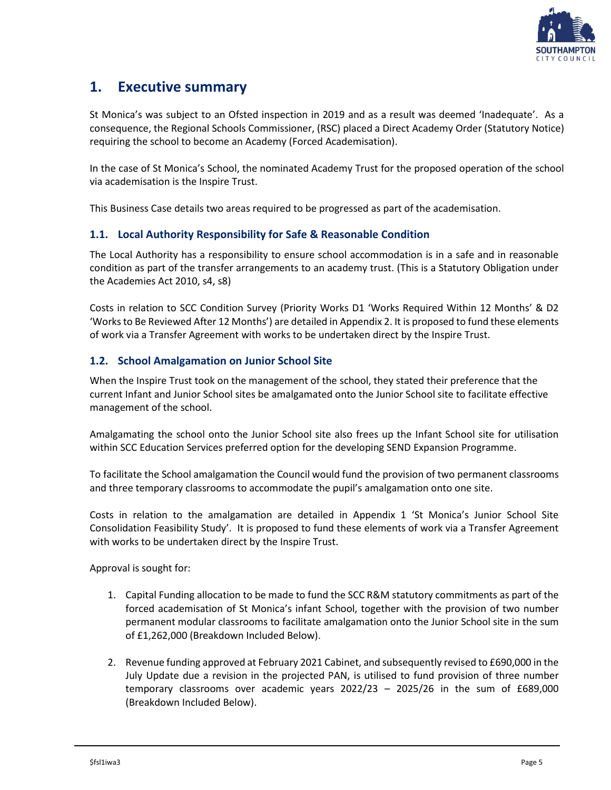

### <span id="page-4-0"></span>**1. Executive summary**

St Monica's was subject to an Ofsted inspection in 2019 and as a result was deemed 'Inadequate'. As a consequence, the Regional Schools Commissioner, (RSC) placed a Direct Academy Order (Statutory Notice) requiring the school to become an Academy (Forced Academisation).

In the case of St Monica's School, the nominated Academy Trust for the proposed operation of the school via academisation is the Inspire Trust.

<span id="page-4-1"></span>This Business Case details two areas required to be progressed as part of the academisation.

#### **1.1. Local Authority Responsibility for Safe & Reasonable Condition**

The Local Authority has a responsibility to ensure school accommodation is in a safe and in reasonable condition as part of the transfer arrangements to an academy trust. (This is a Statutory Obligation under the Academies Act 2010, s4, s8)

Costs in relation to SCC Condition Survey (Priority Works D1 'Works Required Within 12 Months' & D2 'Works to Be Reviewed After 12 Months') are detailed in Appendix 2. It is proposed to fund these elements of work via a Transfer Agreement with works to be undertaken direct by the Inspire Trust.

#### <span id="page-4-2"></span>**1.2. School Amalgamation on Junior School Site**

When the Inspire Trust took on the management of the school, they stated their preference that the current Infant and Junior School sites be amalgamated onto the Junior School site to facilitate effective management of the school.

Amalgamating the school onto the Junior School site also frees up the Infant School site for utilisation within SCC Education Services preferred option for the developing SEND Expansion Programme.

To facilitate the School amalgamation the Council would fund the provision of two permanent classrooms and three temporary classrooms to accommodate the pupil's amalgamation onto one site.

Costs in relation to the amalgamation are detailed in Appendix 1 'St Monica's Junior School Site Consolidation Feasibility Study'. It is proposed to fund these elements of work via a Transfer Agreement with works to be undertaken direct by the Inspire Trust.

Approval is sought for:

- 1. Capital Funding allocation to be made to fund the SCC R&M statutory commitments as part of the forced academisation of St Monica's infant School, together with the provision of two number permanent modular classrooms to facilitate amalgamation onto the Junior School site in the sum of £1,262,000 (Breakdown Included Below).
- 2. Revenue funding approved at February 2021 Cabinet, and subsequently revised to £690,000 in the July Update due a revision in the projected PAN, is utilised to fund provision of three number temporary classrooms over academic years 2022/23 – 2025/26 in the sum of £689,000 (Breakdown Included Below).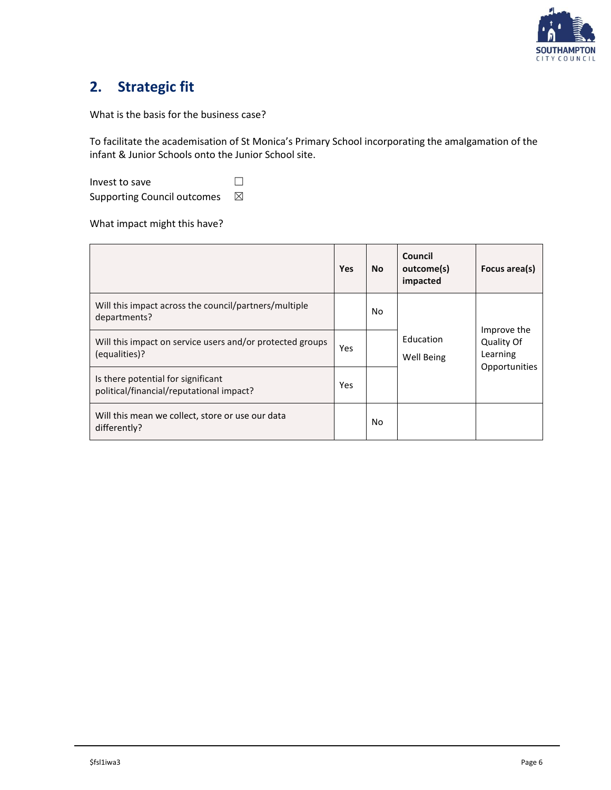

## <span id="page-5-0"></span>**2. Strategic fit**

What is the basis for the business case?

To facilitate the academisation of St Monica's Primary School incorporating the amalgamation of the infant & Junior Schools onto the Junior School site.

| Invest to save                     |   |
|------------------------------------|---|
| <b>Supporting Council outcomes</b> | ⊠ |

What impact might this have?

|                                                                                | <b>Yes</b> | <b>No</b> | Council<br>outcome(s)<br>impacted | Focus area(s)                         |
|--------------------------------------------------------------------------------|------------|-----------|-----------------------------------|---------------------------------------|
| Will this impact across the council/partners/multiple<br>departments?          |            | No.       |                                   |                                       |
| Will this impact on service users and/or protected groups<br>(equalities)?     |            |           | Education<br>Well Being           | Improve the<br>Quality Of<br>Learning |
| Is there potential for significant<br>political/financial/reputational impact? | Yes        |           |                                   | Opportunities                         |
| Will this mean we collect, store or use our data<br>differently?               |            | No.       |                                   |                                       |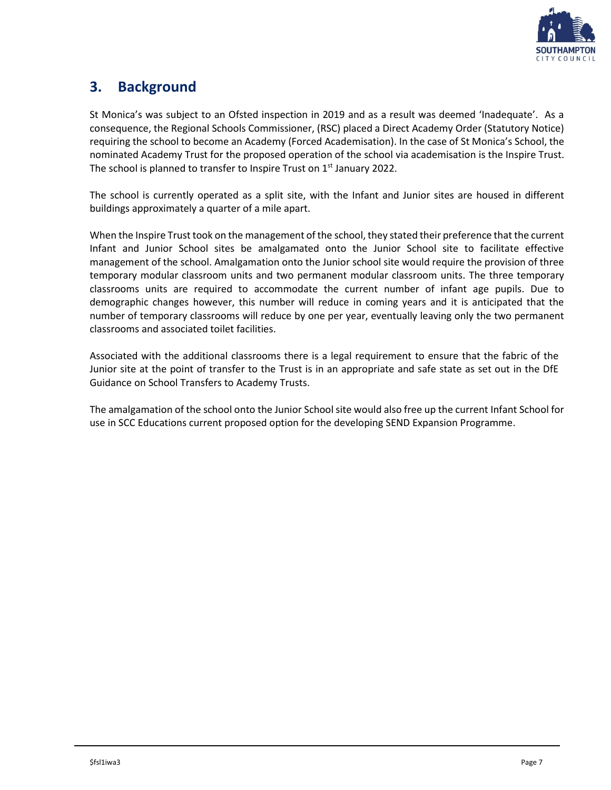

## <span id="page-6-0"></span>**3. Background**

St Monica's was subject to an Ofsted inspection in 2019 and as a result was deemed 'Inadequate'. As a consequence, the Regional Schools Commissioner, (RSC) placed a Direct Academy Order (Statutory Notice) requiring the school to become an Academy (Forced Academisation). In the case of St Monica's School, the nominated Academy Trust for the proposed operation of the school via academisation is the Inspire Trust. The school is planned to transfer to Inspire Trust on  $1<sup>st</sup>$  January 2022.

The school is currently operated as a split site, with the Infant and Junior sites are housed in different buildings approximately a quarter of a mile apart.

When the Inspire Trust took on the management of the school, they stated their preference that the current Infant and Junior School sites be amalgamated onto the Junior School site to facilitate effective management of the school. Amalgamation onto the Junior school site would require the provision of three temporary modular classroom units and two permanent modular classroom units. The three temporary classrooms units are required to accommodate the current number of infant age pupils. Due to demographic changes however, this number will reduce in coming years and it is anticipated that the number of temporary classrooms will reduce by one per year, eventually leaving only the two permanent classrooms and associated toilet facilities.

Associated with the additional classrooms there is a legal requirement to ensure that the fabric of the Junior site at the point of transfer to the Trust is in an appropriate and safe state as set out in the DfE Guidance on School Transfers to Academy Trusts.

The amalgamation of the school onto the Junior School site would also free up the current Infant School for use in SCC Educations current proposed option for the developing SEND Expansion Programme.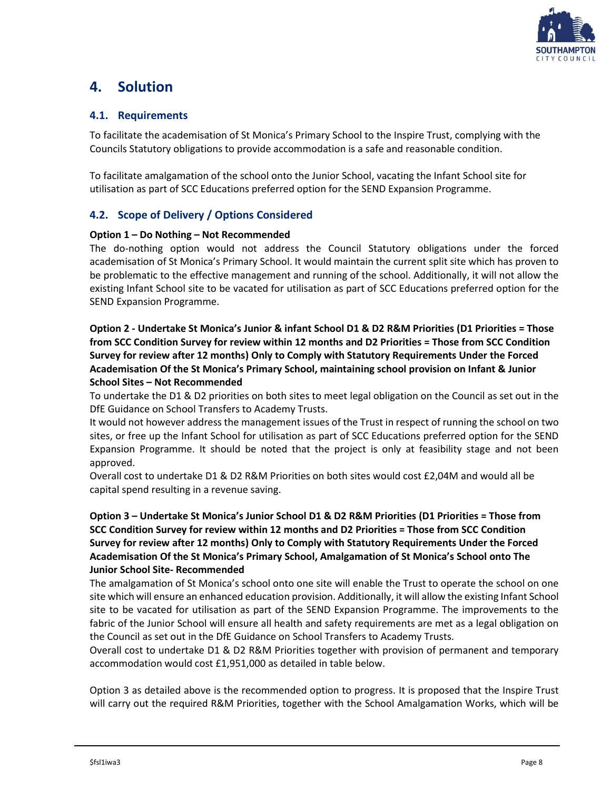

### <span id="page-7-0"></span>**4. Solution**

#### <span id="page-7-1"></span>**4.1. Requirements**

To facilitate the academisation of St Monica's Primary School to the Inspire Trust, complying with the Councils Statutory obligations to provide accommodation is a safe and reasonable condition.

To facilitate amalgamation of the school onto the Junior School, vacating the Infant School site for utilisation as part of SCC Educations preferred option for the SEND Expansion Programme.

#### <span id="page-7-2"></span>**4.2. Scope of Delivery / Options Considered**

#### **Option 1 – Do Nothing – Not Recommended**

The do-nothing option would not address the Council Statutory obligations under the forced academisation of St Monica's Primary School. It would maintain the current split site which has proven to be problematic to the effective management and running of the school. Additionally, it will not allow the existing Infant School site to be vacated for utilisation as part of SCC Educations preferred option for the SEND Expansion Programme.

**Option 2 - Undertake St Monica's Junior & infant School D1 & D2 R&M Priorities (D1 Priorities = Those from SCC Condition Survey for review within 12 months and D2 Priorities = Those from SCC Condition Survey for review after 12 months) Only to Comply with Statutory Requirements Under the Forced Academisation Of the St Monica's Primary School, maintaining school provision on Infant & Junior School Sites – Not Recommended**

To undertake the D1 & D2 priorities on both sites to meet legal obligation on the Council as set out in the DfE Guidance on School Transfers to Academy Trusts.

It would not however address the management issues of the Trust in respect of running the school on two sites, or free up the Infant School for utilisation as part of SCC Educations preferred option for the SEND Expansion Programme. It should be noted that the project is only at feasibility stage and not been approved.

Overall cost to undertake D1 & D2 R&M Priorities on both sites would cost £2,04M and would all be capital spend resulting in a revenue saving.

#### **Option 3 – Undertake St Monica's Junior School D1 & D2 R&M Priorities (D1 Priorities = Those from SCC Condition Survey for review within 12 months and D2 Priorities = Those from SCC Condition Survey for review after 12 months) Only to Comply with Statutory Requirements Under the Forced Academisation Of the St Monica's Primary School, Amalgamation of St Monica's School onto The Junior School Site- Recommended**

The amalgamation of St Monica's school onto one site will enable the Trust to operate the school on one site which will ensure an enhanced education provision. Additionally, it will allow the existing Infant School site to be vacated for utilisation as part of the SEND Expansion Programme. The improvements to the fabric of the Junior School will ensure all health and safety requirements are met as a legal obligation on the Council as set out in the DfE Guidance on School Transfers to Academy Trusts.

Overall cost to undertake D1 & D2 R&M Priorities together with provision of permanent and temporary accommodation would cost £1,951,000 as detailed in table below.

Option 3 as detailed above is the recommended option to progress. It is proposed that the Inspire Trust will carry out the required R&M Priorities, together with the School Amalgamation Works, which will be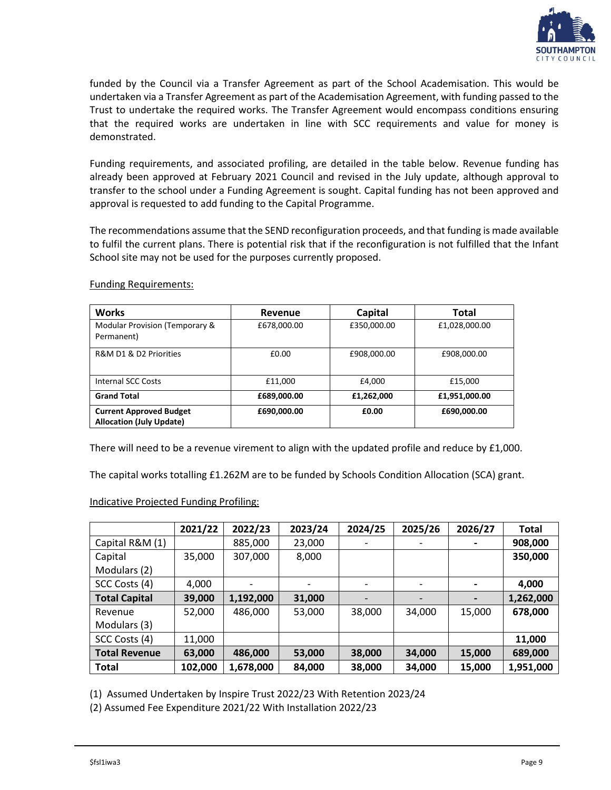

funded by the Council via a Transfer Agreement as part of the School Academisation. This would be undertaken via a Transfer Agreement as part of the Academisation Agreement, with funding passed to the Trust to undertake the required works. The Transfer Agreement would encompass conditions ensuring that the required works are undertaken in line with SCC requirements and value for money is demonstrated.

Funding requirements, and associated profiling, are detailed in the table below. Revenue funding has already been approved at February 2021 Council and revised in the July update, although approval to transfer to the school under a Funding Agreement is sought. Capital funding has not been approved and approval is requested to add funding to the Capital Programme.

The recommendations assume that the SEND reconfiguration proceeds, and that funding is made available to fulfil the current plans. There is potential risk that if the reconfiguration is not fulfilled that the Infant School site may not be used for the purposes currently proposed.

| <b>Works</b>                                                      | Revenue     | Capital     | Total         |
|-------------------------------------------------------------------|-------------|-------------|---------------|
| Modular Provision (Temporary &<br>Permanent)                      | £678,000.00 | £350,000.00 | £1,028,000.00 |
| R&M D1 & D2 Priorities                                            | £0.00       | £908,000.00 | £908,000.00   |
| Internal SCC Costs                                                | £11.000     | £4,000      | £15,000       |
| <b>Grand Total</b>                                                | £689,000.00 | £1,262,000  | £1,951,000.00 |
| <b>Current Approved Budget</b><br><b>Allocation (July Update)</b> | £690,000.00 | £0.00       | £690,000.00   |

Funding Requirements:

There will need to be a revenue virement to align with the updated profile and reduce by £1,000.

The capital works totalling £1.262M are to be funded by Schools Condition Allocation (SCA) grant.

#### Indicative Projected Funding Profiling:

|                      | 2021/22 | 2022/23   | 2023/24 | 2024/25 | 2025/26 | 2026/27 | <b>Total</b> |
|----------------------|---------|-----------|---------|---------|---------|---------|--------------|
| Capital R&M (1)      |         | 885,000   | 23,000  |         |         |         | 908,000      |
| Capital              | 35,000  | 307,000   | 8,000   |         |         |         | 350,000      |
| Modulars (2)         |         |           |         |         |         |         |              |
| SCC Costs (4)        | 4,000   |           |         |         |         |         | 4,000        |
| <b>Total Capital</b> | 39,000  | 1,192,000 | 31,000  |         |         |         | 1,262,000    |
| Revenue              | 52,000  | 486,000   | 53,000  | 38,000  | 34,000  | 15,000  | 678,000      |
| Modulars (3)         |         |           |         |         |         |         |              |
| SCC Costs (4)        | 11,000  |           |         |         |         |         | 11,000       |
| <b>Total Revenue</b> | 63,000  | 486,000   | 53,000  | 38,000  | 34,000  | 15,000  | 689,000      |
| <b>Total</b>         | 102,000 | 1,678,000 | 84,000  | 38,000  | 34,000  | 15,000  | 1,951,000    |

(1) Assumed Undertaken by Inspire Trust 2022/23 With Retention 2023/24

(2) Assumed Fee Expenditure 2021/22 With Installation 2022/23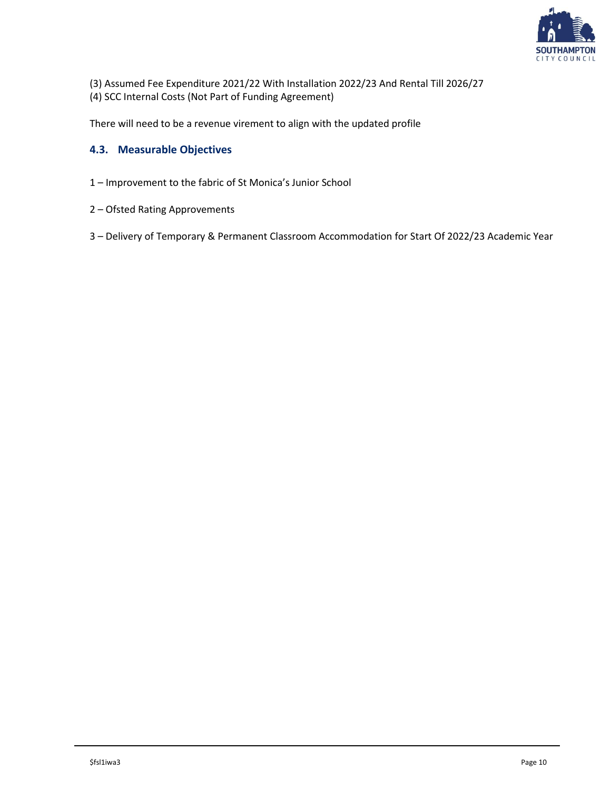

- (3) Assumed Fee Expenditure 2021/22 With Installation 2022/23 And Rental Till 2026/27
- (4) SCC Internal Costs (Not Part of Funding Agreement)

<span id="page-9-0"></span>There will need to be a revenue virement to align with the updated profile

#### **4.3. Measurable Objectives**

- 1 Improvement to the fabric of St Monica's Junior School
- 2 Ofsted Rating Approvements
- 3 Delivery of Temporary & Permanent Classroom Accommodation for Start Of 2022/23 Academic Year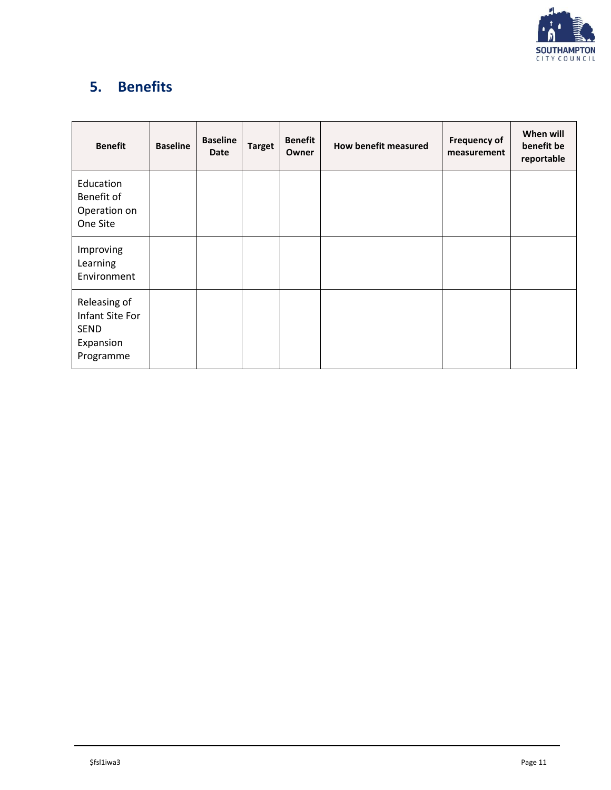

# <span id="page-10-0"></span>**5. Benefits**

| <b>Benefit</b>                                                    | <b>Baseline</b> | <b>Baseline</b><br><b>Date</b> | <b>Target</b> | <b>Benefit</b><br>Owner | How benefit measured | <b>Frequency of</b><br>measurement | When will<br>benefit be<br>reportable |
|-------------------------------------------------------------------|-----------------|--------------------------------|---------------|-------------------------|----------------------|------------------------------------|---------------------------------------|
| Education<br>Benefit of<br>Operation on<br>One Site               |                 |                                |               |                         |                      |                                    |                                       |
| Improving<br>Learning<br>Environment                              |                 |                                |               |                         |                      |                                    |                                       |
| Releasing of<br>Infant Site For<br>SEND<br>Expansion<br>Programme |                 |                                |               |                         |                      |                                    |                                       |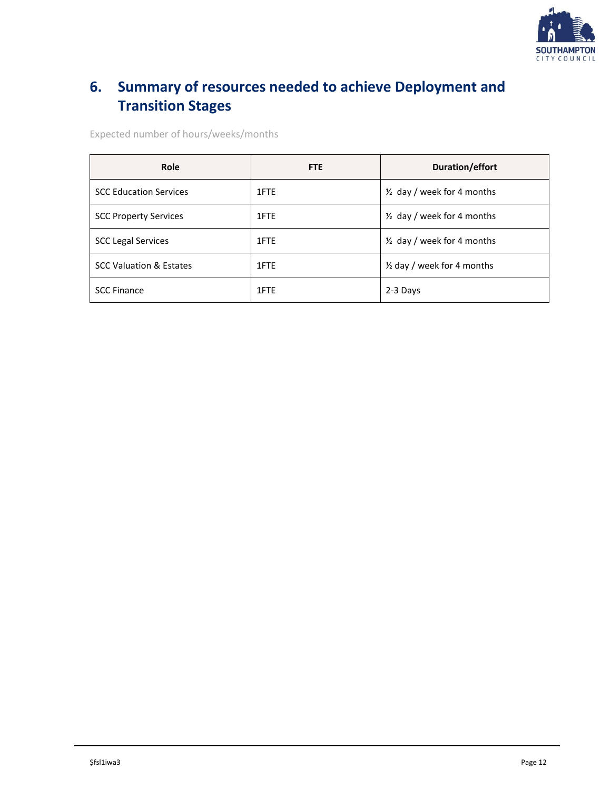

# <span id="page-11-0"></span>**6. Summary of resources needed to achieve Deployment and Transition Stages**

Expected number of hours/weeks/months

| Role                               | <b>FTE</b> | Duration/effort                       |
|------------------------------------|------------|---------------------------------------|
| <b>SCC Education Services</b>      | 1FTE       | $\frac{1}{2}$ day / week for 4 months |
| <b>SCC Property Services</b>       | 1FTE       | $\frac{1}{2}$ day / week for 4 months |
| <b>SCC Legal Services</b>          | 1FTE       | $\frac{1}{2}$ day / week for 4 months |
| <b>SCC Valuation &amp; Estates</b> | 1FTE       | 1/2 day / week for 4 months           |
| <b>SCC Finance</b>                 | 1FTE       | 2-3 Days                              |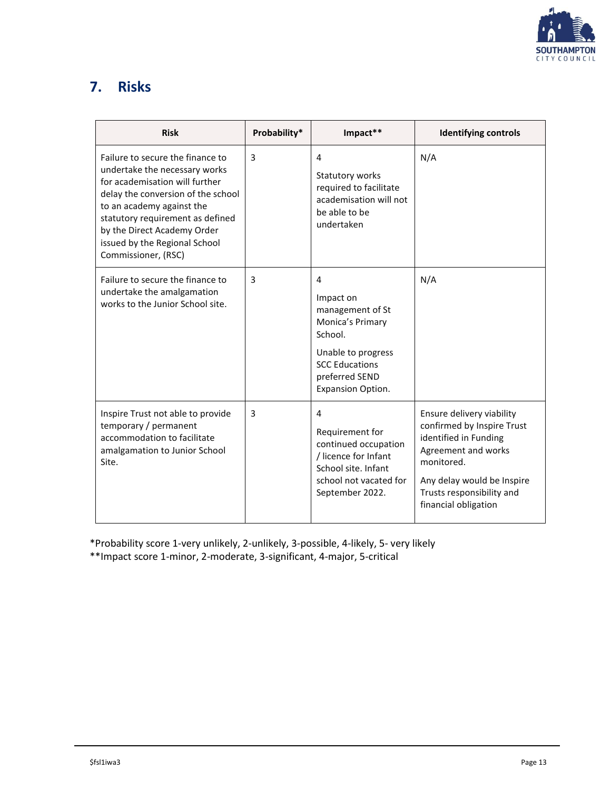

## <span id="page-12-0"></span>**7. Risks**

| <b>Risk</b>                                                                                                                                                                                                                                                                                       | Probability* | Impact**                                                                                                                                                | <b>Identifying controls</b>                                                                                                                                                                              |
|---------------------------------------------------------------------------------------------------------------------------------------------------------------------------------------------------------------------------------------------------------------------------------------------------|--------------|---------------------------------------------------------------------------------------------------------------------------------------------------------|----------------------------------------------------------------------------------------------------------------------------------------------------------------------------------------------------------|
| Failure to secure the finance to<br>undertake the necessary works<br>for academisation will further<br>delay the conversion of the school<br>to an academy against the<br>statutory requirement as defined<br>by the Direct Academy Order<br>issued by the Regional School<br>Commissioner, (RSC) | 3            | 4<br>Statutory works<br>required to facilitate<br>academisation will not<br>be able to be<br>undertaken                                                 | N/A                                                                                                                                                                                                      |
| Failure to secure the finance to<br>undertake the amalgamation<br>works to the Junior School site.                                                                                                                                                                                                | 3            | 4<br>Impact on<br>management of St<br>Monica's Primary<br>School.<br>Unable to progress<br><b>SCC Educations</b><br>preferred SEND<br>Expansion Option. | N/A                                                                                                                                                                                                      |
| Inspire Trust not able to provide<br>temporary / permanent<br>accommodation to facilitate<br>amalgamation to Junior School<br>Site.                                                                                                                                                               | 3            | 4<br>Requirement for<br>continued occupation<br>/ licence for Infant<br>School site. Infant<br>school not vacated for<br>September 2022.                | Ensure delivery viability<br>confirmed by Inspire Trust<br>identified in Funding<br>Agreement and works<br>monitored.<br>Any delay would be Inspire<br>Trusts responsibility and<br>financial obligation |

\*Probability score 1-very unlikely, 2-unlikely, 3-possible, 4-likely, 5- very likely

\*\*Impact score 1-minor, 2-moderate, 3-significant, 4-major, 5-critical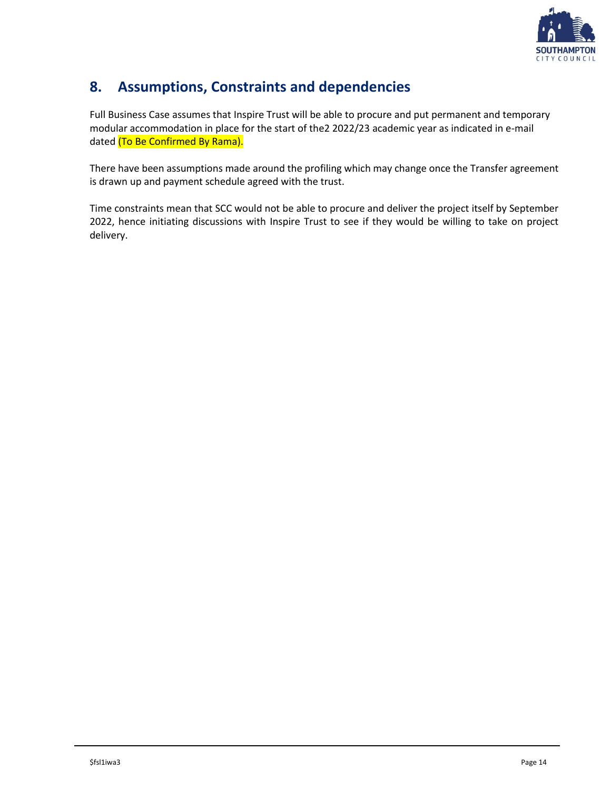

## <span id="page-13-0"></span>**8. Assumptions, Constraints and dependencies**

Full Business Case assumes that Inspire Trust will be able to procure and put permanent and temporary modular accommodation in place for the start of the2 2022/23 academic year as indicated in e-mail dated (To Be Confirmed By Rama).

There have been assumptions made around the profiling which may change once the Transfer agreement is drawn up and payment schedule agreed with the trust.

Time constraints mean that SCC would not be able to procure and deliver the project itself by September 2022, hence initiating discussions with Inspire Trust to see if they would be willing to take on project delivery.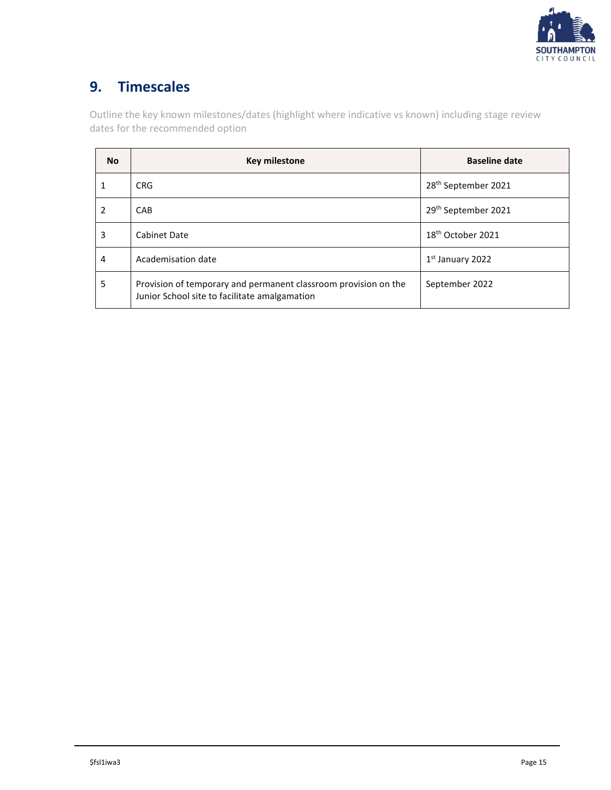

## <span id="page-14-0"></span>**9. Timescales**

Outline the key known milestones/dates (highlight where indicative vs known) including stage review dates for the recommended option

| <b>No</b> | <b>Key milestone</b>                                                                                             | <b>Baseline date</b>            |
|-----------|------------------------------------------------------------------------------------------------------------------|---------------------------------|
|           | <b>CRG</b>                                                                                                       | 28 <sup>th</sup> September 2021 |
| 2         | CAB                                                                                                              | 29 <sup>th</sup> September 2021 |
| 3         | Cabinet Date                                                                                                     | 18 <sup>th</sup> October 2021   |
| 4         | Academisation date                                                                                               | $1st$ January 2022              |
| 5         | Provision of temporary and permanent classroom provision on the<br>Junior School site to facilitate amalgamation | September 2022                  |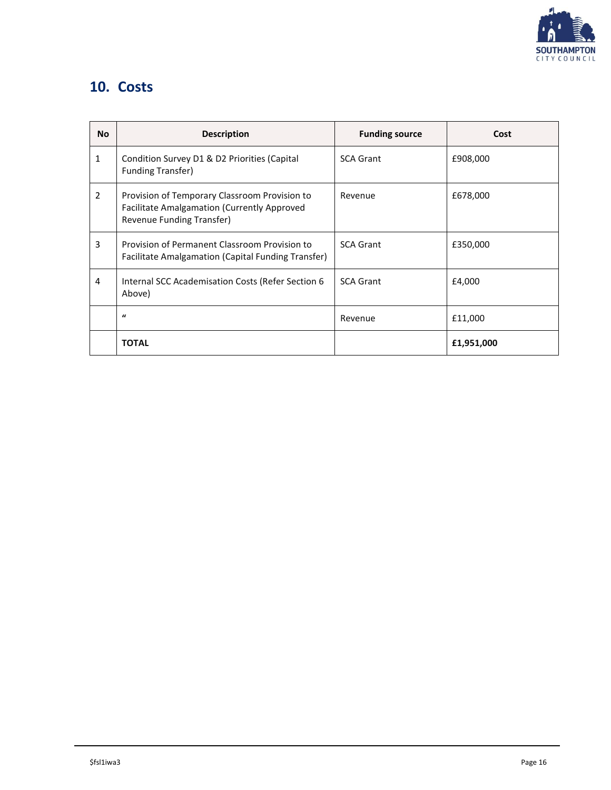

## <span id="page-15-0"></span>**10. Costs**

| <b>No</b> | <b>Description</b>                                                                                                        | <b>Funding source</b> | Cost       |
|-----------|---------------------------------------------------------------------------------------------------------------------------|-----------------------|------------|
| 1         | Condition Survey D1 & D2 Priorities (Capital<br><b>Funding Transfer)</b>                                                  | <b>SCA Grant</b>      | £908,000   |
| 2         | Provision of Temporary Classroom Provision to<br>Facilitate Amalgamation (Currently Approved<br>Revenue Funding Transfer) | Revenue               | £678,000   |
| 3         | Provision of Permanent Classroom Provision to<br>Facilitate Amalgamation (Capital Funding Transfer)                       | <b>SCA Grant</b>      | £350,000   |
| 4         | Internal SCC Academisation Costs (Refer Section 6<br>Above)                                                               | <b>SCA Grant</b>      | £4,000     |
|           | $\mathbf{u}$                                                                                                              | Revenue               | £11,000    |
|           | <b>TOTAL</b>                                                                                                              |                       | £1,951,000 |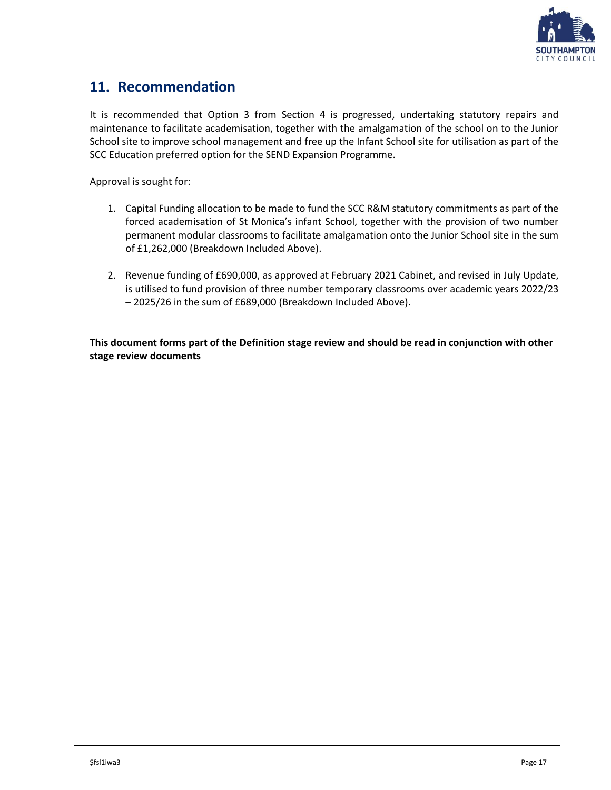

### <span id="page-16-0"></span>**11. Recommendation**

It is recommended that Option 3 from Section 4 is progressed, undertaking statutory repairs and maintenance to facilitate academisation, together with the amalgamation of the school on to the Junior School site to improve school management and free up the Infant School site for utilisation as part of the SCC Education preferred option for the SEND Expansion Programme.

Approval is sought for:

- 1. Capital Funding allocation to be made to fund the SCC R&M statutory commitments as part of the forced academisation of St Monica's infant School, together with the provision of two number permanent modular classrooms to facilitate amalgamation onto the Junior School site in the sum of £1,262,000 (Breakdown Included Above).
- 2. Revenue funding of £690,000, as approved at February 2021 Cabinet, and revised in July Update, is utilised to fund provision of three number temporary classrooms over academic years 2022/23 – 2025/26 in the sum of £689,000 (Breakdown Included Above).

**This document forms part of the Definition stage review and should be read in conjunction with other stage review documents**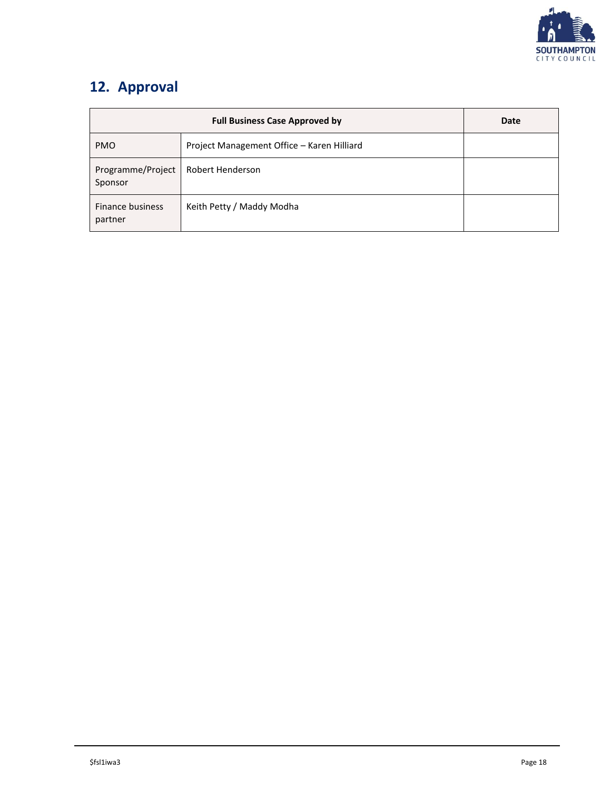

# <span id="page-17-0"></span>**12. Approval**

|                              | Date                                       |  |
|------------------------------|--------------------------------------------|--|
| <b>PMO</b>                   | Project Management Office - Karen Hilliard |  |
| Programme/Project<br>Sponsor | Robert Henderson                           |  |
| Finance business<br>partner  | Keith Petty / Maddy Modha                  |  |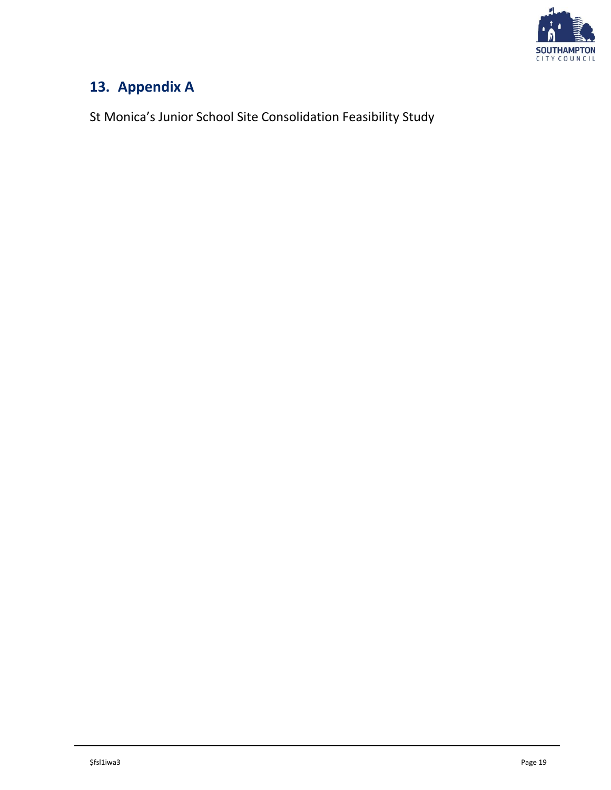

# <span id="page-18-0"></span>**13. Appendix A**

St Monica's Junior School Site Consolidation Feasibility Study